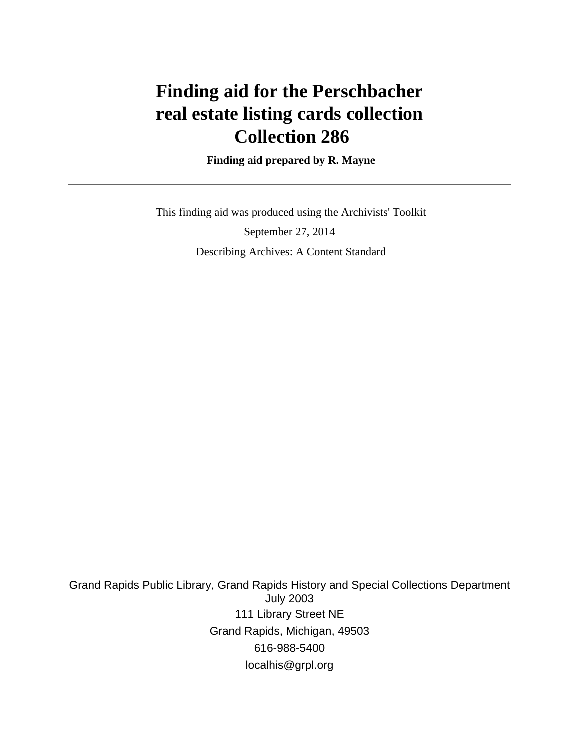# **Finding aid for the Perschbacher real estate listing cards collection Collection 286**

 **Finding aid prepared by R. Mayne**

 This finding aid was produced using the Archivists' Toolkit September 27, 2014 Describing Archives: A Content Standard

Grand Rapids Public Library, Grand Rapids History and Special Collections Department July 2003 111 Library Street NE Grand Rapids, Michigan, 49503 616-988-5400 localhis@grpl.org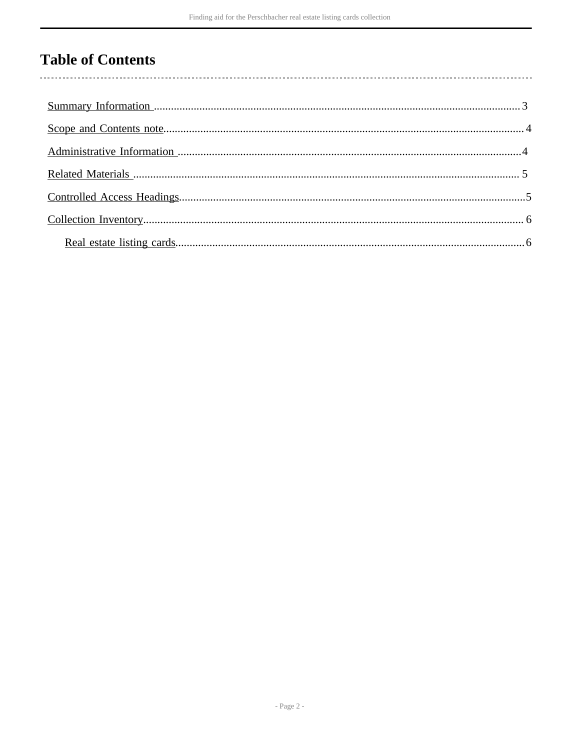## **Table of Contents**

 $\overline{\phantom{a}}$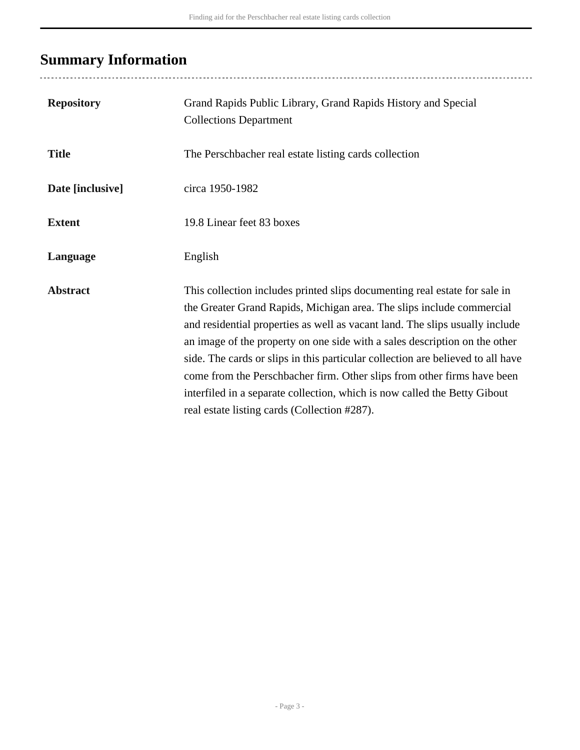## <span id="page-2-0"></span>**Summary Information**

..................................

| <b>Repository</b> | Grand Rapids Public Library, Grand Rapids History and Special<br><b>Collections Department</b>                                                                                                                                                                                                                                                                                                                                                                                                                                                                                                               |
|-------------------|--------------------------------------------------------------------------------------------------------------------------------------------------------------------------------------------------------------------------------------------------------------------------------------------------------------------------------------------------------------------------------------------------------------------------------------------------------------------------------------------------------------------------------------------------------------------------------------------------------------|
| <b>Title</b>      | The Perschbacher real estate listing cards collection                                                                                                                                                                                                                                                                                                                                                                                                                                                                                                                                                        |
| Date [inclusive]  | circa 1950-1982                                                                                                                                                                                                                                                                                                                                                                                                                                                                                                                                                                                              |
| <b>Extent</b>     | 19.8 Linear feet 83 boxes                                                                                                                                                                                                                                                                                                                                                                                                                                                                                                                                                                                    |
| Language          | English                                                                                                                                                                                                                                                                                                                                                                                                                                                                                                                                                                                                      |
| <b>Abstract</b>   | This collection includes printed slips documenting real estate for sale in<br>the Greater Grand Rapids, Michigan area. The slips include commercial<br>and residential properties as well as vacant land. The slips usually include<br>an image of the property on one side with a sales description on the other<br>side. The cards or slips in this particular collection are believed to all have<br>come from the Perschbacher firm. Other slips from other firms have been<br>interfiled in a separate collection, which is now called the Betty Gibout<br>real estate listing cards (Collection #287). |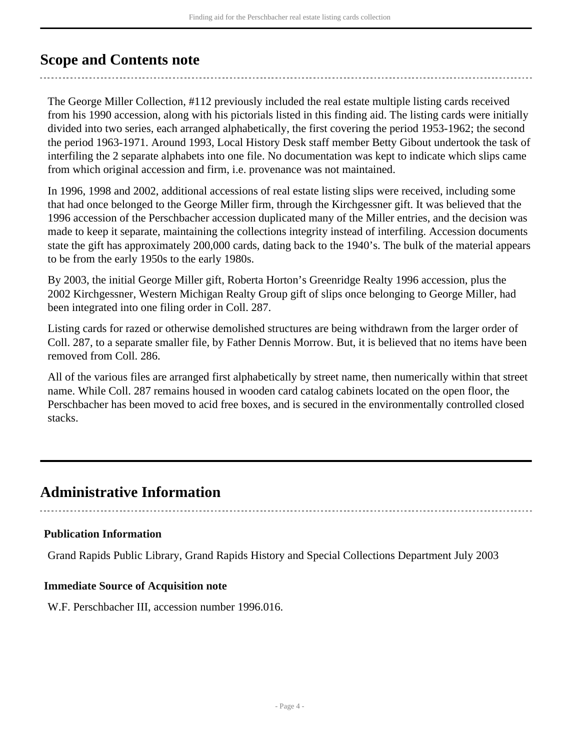### <span id="page-3-0"></span>**Scope and Contents note**

The George Miller Collection, #112 previously included the real estate multiple listing cards received from his 1990 accession, along with his pictorials listed in this finding aid. The listing cards were initially divided into two series, each arranged alphabetically, the first covering the period 1953-1962; the second the period 1963-1971. Around 1993, Local History Desk staff member Betty Gibout undertook the task of interfiling the 2 separate alphabets into one file. No documentation was kept to indicate which slips came from which original accession and firm, i.e. provenance was not maintained.

In 1996, 1998 and 2002, additional accessions of real estate listing slips were received, including some that had once belonged to the George Miller firm, through the Kirchgessner gift. It was believed that the 1996 accession of the Perschbacher accession duplicated many of the Miller entries, and the decision was made to keep it separate, maintaining the collections integrity instead of interfiling. Accession documents state the gift has approximately 200,000 cards, dating back to the 1940's. The bulk of the material appears to be from the early 1950s to the early 1980s.

By 2003, the initial George Miller gift, Roberta Horton's Greenridge Realty 1996 accession, plus the 2002 Kirchgessner, Western Michigan Realty Group gift of slips once belonging to George Miller, had been integrated into one filing order in Coll. 287.

Listing cards for razed or otherwise demolished structures are being withdrawn from the larger order of Coll. 287, to a separate smaller file, by Father Dennis Morrow. But, it is believed that no items have been removed from Coll. 286.

All of the various files are arranged first alphabetically by street name, then numerically within that street name. While Coll. 287 remains housed in wooden card catalog cabinets located on the open floor, the Perschbacher has been moved to acid free boxes, and is secured in the environmentally controlled closed stacks.

### <span id="page-3-1"></span>**Administrative Information**

### **Publication Information**

Grand Rapids Public Library, Grand Rapids History and Special Collections Department July 2003

#### **Immediate Source of Acquisition note**

W.F. Perschbacher III, accession number 1996.016.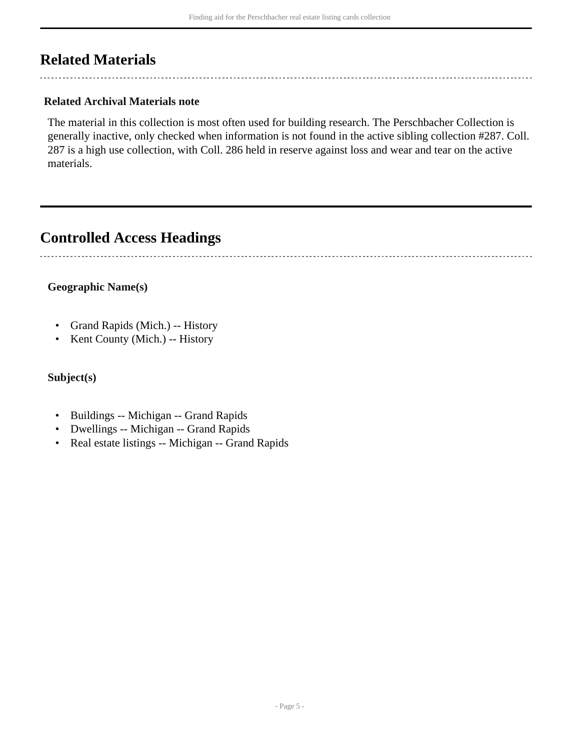### <span id="page-4-0"></span>**Related Materials**

#### **Related Archival Materials note**

The material in this collection is most often used for building research. The Perschbacher Collection is generally inactive, only checked when information is not found in the active sibling collection #287. Coll. 287 is a high use collection, with Coll. 286 held in reserve against loss and wear and tear on the active materials.

### <span id="page-4-1"></span>**Controlled Access Headings**

#### **Geographic Name(s)**

- Grand Rapids (Mich.) -- History
- Kent County (Mich.) -- History

#### **Subject(s)**

- Buildings -- Michigan -- Grand Rapids
- Dwellings -- Michigan -- Grand Rapids
- Real estate listings -- Michigan -- Grand Rapids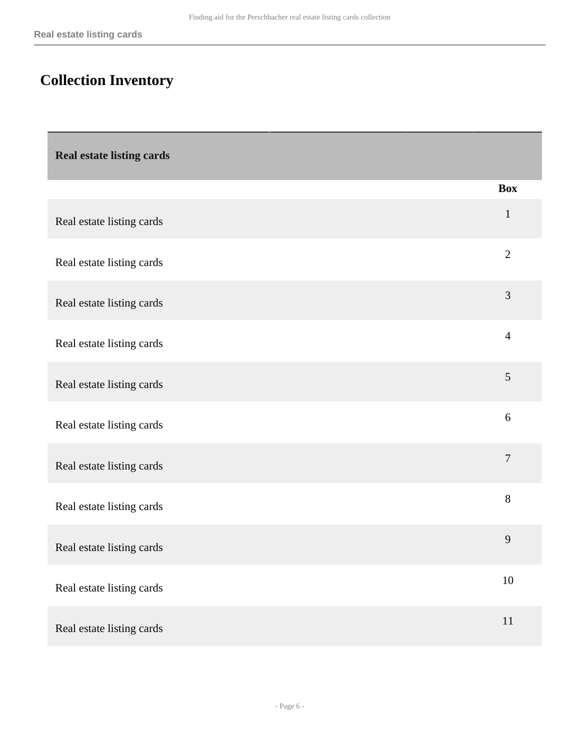# <span id="page-5-0"></span>**Collection Inventory**

<span id="page-5-1"></span>

| <b>Real estate listing cards</b> |                |
|----------------------------------|----------------|
|                                  | <b>Box</b>     |
| Real estate listing cards        | $\mathbf{1}$   |
| Real estate listing cards        | $\overline{2}$ |
| Real estate listing cards        | $\mathfrak{Z}$ |
| Real estate listing cards        | $\overline{4}$ |
| Real estate listing cards        | 5              |
| Real estate listing cards        | $\sqrt{6}$     |
| Real estate listing cards        | $\overline{7}$ |
| Real estate listing cards        | $8\,$          |
| Real estate listing cards        | 9              |
| Real estate listing cards        | $10\,$         |
| Real estate listing cards        | $11\,$         |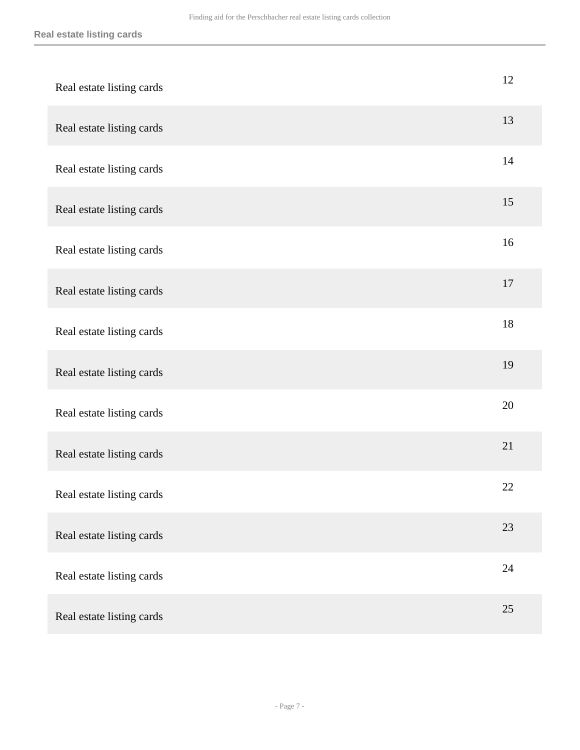| Real estate listing cards | 12 |
|---------------------------|----|
| Real estate listing cards | 13 |
| Real estate listing cards | 14 |
| Real estate listing cards | 15 |
| Real estate listing cards | 16 |
| Real estate listing cards | 17 |
| Real estate listing cards | 18 |
| Real estate listing cards | 19 |
| Real estate listing cards | 20 |
| Real estate listing cards | 21 |
| Real estate listing cards | 22 |
| Real estate listing cards | 23 |
| Real estate listing cards | 24 |
| Real estate listing cards | 25 |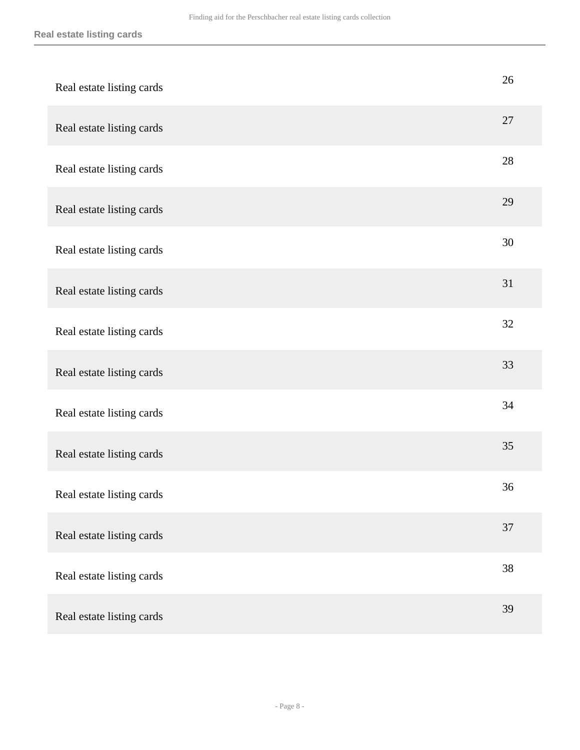| Real estate listing cards | 26 |
|---------------------------|----|
| Real estate listing cards | 27 |
| Real estate listing cards | 28 |
| Real estate listing cards | 29 |
| Real estate listing cards | 30 |
| Real estate listing cards | 31 |
| Real estate listing cards | 32 |
| Real estate listing cards | 33 |
| Real estate listing cards | 34 |
| Real estate listing cards | 35 |
| Real estate listing cards | 36 |
| Real estate listing cards | 37 |
| Real estate listing cards | 38 |
| Real estate listing cards | 39 |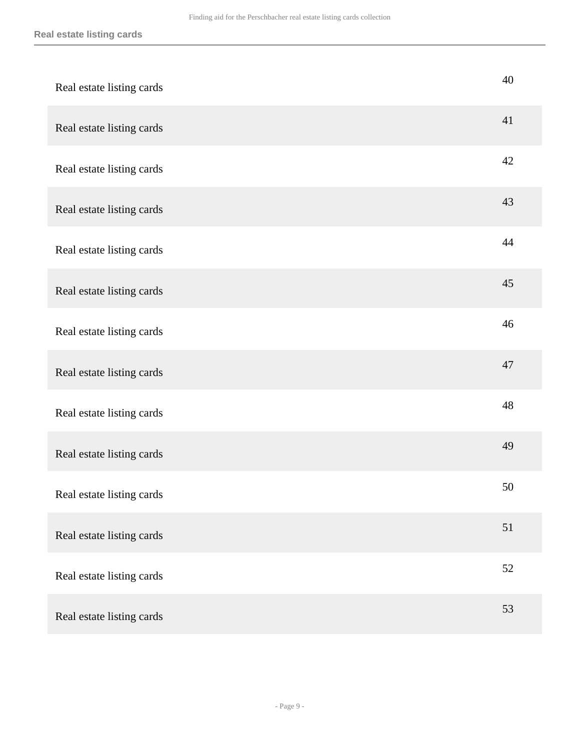| Real estate listing cards | 40 |
|---------------------------|----|
| Real estate listing cards | 41 |
| Real estate listing cards | 42 |
| Real estate listing cards | 43 |
| Real estate listing cards | 44 |
| Real estate listing cards | 45 |
| Real estate listing cards | 46 |
| Real estate listing cards | 47 |
| Real estate listing cards | 48 |
| Real estate listing cards | 49 |
| Real estate listing cards | 50 |
| Real estate listing cards | 51 |
| Real estate listing cards | 52 |
| Real estate listing cards | 53 |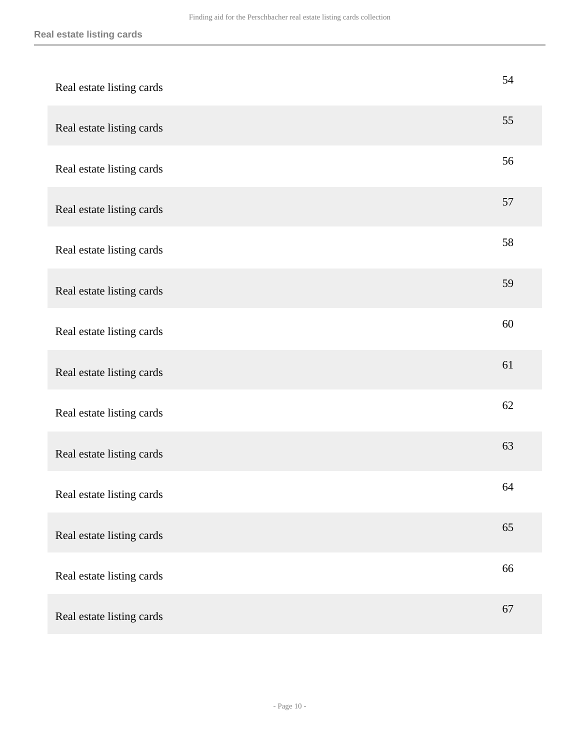| Real estate listing cards | 54 |
|---------------------------|----|
| Real estate listing cards | 55 |
| Real estate listing cards | 56 |
| Real estate listing cards | 57 |
| Real estate listing cards | 58 |
| Real estate listing cards | 59 |
| Real estate listing cards | 60 |
| Real estate listing cards | 61 |
| Real estate listing cards | 62 |
| Real estate listing cards | 63 |
| Real estate listing cards | 64 |
| Real estate listing cards | 65 |
| Real estate listing cards | 66 |
| Real estate listing cards | 67 |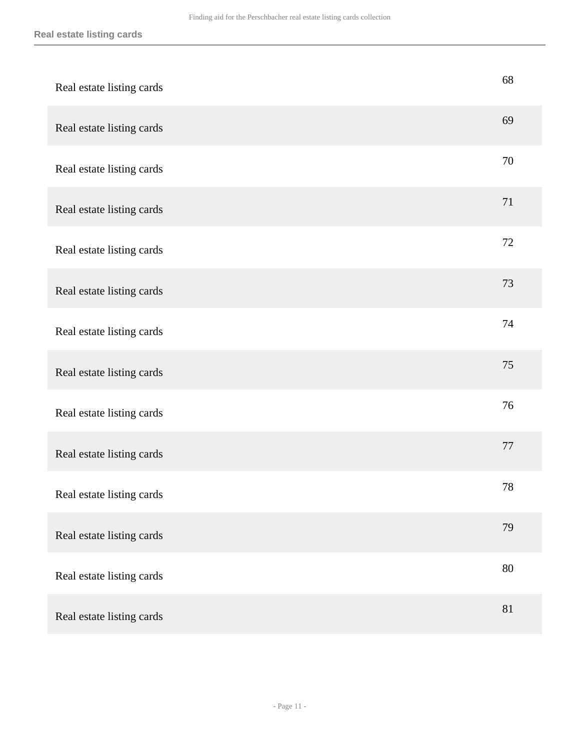| Real estate listing cards | 68 |
|---------------------------|----|
| Real estate listing cards | 69 |
| Real estate listing cards | 70 |
| Real estate listing cards | 71 |
| Real estate listing cards | 72 |
| Real estate listing cards | 73 |
| Real estate listing cards | 74 |
| Real estate listing cards | 75 |
| Real estate listing cards | 76 |
| Real estate listing cards | 77 |
| Real estate listing cards | 78 |
| Real estate listing cards | 79 |
| Real estate listing cards | 80 |
| Real estate listing cards | 81 |